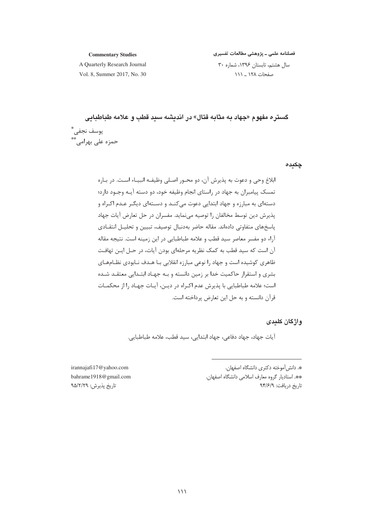#### **Commentary Studies**

فصلنامه علمی ـ پژوهشی مطالعات تفسیری

A Quarterly Research Journal Vol. 8. Summer 2017, No. 30 سال هشتم، تابستان ١٣٩۶، شماره ٣٠ صفحات ۱۲۸ \_ ۱۱۱

گستره مفهوم «جهاد به مثابه قتال» در اندیشه سید قطب و علامه طباطبایی يوسف نجفى \*\* ۔<br>حمزہ عل*ی* پھرامے، \*\*

چکیدہ

ابلاغ وحي و دعوت به پذيرش آن، دو محـور اصـلي وظيفـه انبيـاء اسـت. در بـاره تمسک پیامبران به جهاد در راستای انجام وظیفه خود، دو دسته آیـه وجـود دارد؛ دستهای به مبارزه و جهاد ابتدایی دعوت میکنـد و دسـتهای دیگـر عـدم اکـراه و پذیرش دین توسط مخالفان را توصیه می نماید. مفسران در حل تعارض آیات جهاد پاسخهای متفاوتی دادهاند. مقاله حاضر بهدنبال توصیف، تبیین و تحلیـل انتقـادی آراء دو مفسر معاصر سيد قطب و علامه طباطبايي در اين زمينه است. نتيجه مقاله آن است که سید قطب به کمک نظریه مرحلهای بودن آیات، در حـل ایـن تهافـت ظاهری کوشیده است و جهاد را نوعی مبارزه انقلابی بـا هـدف نـابودی نظـامهـای بشری و استقرار حاکمیت خدا بر زمین دانسته و بـه جهـاد ابتـدایی معتقــد شــده است؛ علامه طباطبایی با پذیرش عدم اکـراه در دیـن، آیـات جهـاد را از محکمـات قرآن دانسته و به حل این تعارض پرداخته است.

# واژگان کلیدی

آيات جهاد، جهاد دفاعي، جهاد ابتدايي، سيد قطب، علامه طباطبايي.

». دانش آموخته دکتری دانشگاه اصفهان. \*\*. استاديار گروه معارف اسلامي دانشگاه اصفهان. تاريخ دريافت: ٩٣/۶/٩

irannajafi17@yahoo.com bahrame1918@gmail.com تاريخ پذيرش: ٩۵/٢/٢٩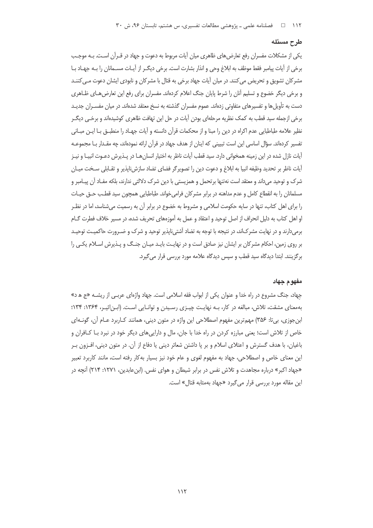#### طرح مسئله

یکی از مشکلات مفسران رفع تعارض های ظاهری میان آیات مربوط به دعوت و جهاد در قـرآن اسـت. بـه موجـب برخی از آیات پیامبر فقط موظف به ابلاغ وحی و انذار بشارت است. برخی دیگ راز آیـات مسـمانان را بـه جهـاد بـا مشرکان تشویق و تحریض می کنند. در میان آیات جهاد برخی به قتال با مشرکان و نابودی ایشان دعوت مـی کننـد و برخی دیگر خضوع و تسلیم آنان را شرط پایان جنگ اعلام کردهاند. مفسران برای رفع این تعارض هـای ظـاهری دست به تأویلها و تفسیرهای متفاوتی زدهاند. عموم مفسران گذشته به نسخ معتقد شدهاند. در میان مفسـران جدیـد برخی ازجمله سید قطب به کمک نظریه مرحلهای بودن آیات در حل این تهافت ظاهری کوشیدهاند و برخـی دیگـر نظير علامه طباطبايي عدم اكراه در دين را مبنا و از محكمات قرآن دانسته و آيات جهـاد را منطبــق بــا ايــن مبــاني تفسیر کردماند. سؤال اساسی این است تبیینی که اینان از هدف جهاد در قرآن ارائه نمودهاند، چه مقـدار بـا مجموعـه آيات نازل شده در اين زمينه همخواني دارد. سيد قطب آيات ناظر به اختيار انسان هـا در پــذيرش دعــوت انبيـا و نيـز آيات ناظر بر تحديد وظيفه انبيا به ابلاغ و دعوت دين را تصوير گر فضاي تضاد سازش نايذير و تقـابلي ســخت ميـان شرک و توحید می داند و معتقد است نهتنها برتحمل و همزیستی با دین شرک دلالتی ندارند، بلکه مفـاد آن پیـامبر و مسلمانان را به انقطاع کامل و عدم مداهنه در برابر مشرکان فرامی خواند. طباطبایی همچون سید قطب حــق حیـات را برای اهل کتاب، تنها در سایه حکومت اسلامی و مشروط به خضوع در برابر آن به رسمیت میشناسد، اما در نظـر او اهل کتاب به دلیل انحراف از اصل توحید و اعتقاد و عمل به آموزههای تحریف شده، در مسیر خلاف فطرت گــام برمی دارند و در نهایت مشرک|ند، در نتیجه با توجه به تضاد آشتی ناپذیر توحید و شرک و ضـرورت حاکمیـت توحیـد بر روی زمین، احکام مشرکان بر ایشان نیز صادق است و در نهایت بایـد میـان جنـگ و پـذیرش اسـلام یکـی را برگزینند. ابتدا دیدگاه سید قطب و سپس دیدگاه علامه مورد بررسی قرار می گیرد.

### مفهوم جهاد

جهاد، جنگ مشروع در راه خدا و عنوان یکی از ابواب فقه اسلامی است. جهاد واژهای عربی از ریشــه «ج هـ د» بهمعنای مشقت، تلاش، مبالغه در کار، بـه نهایـت چیـزی رسـیدن و توانـایی اسـت. (ابـن|ثیـر، ۱۳۶۴: ۱۳۴؛ ابنجوزي، بي¤ا: ۳۵۶) مهم ترين مفهوم اصطلاحي اين واژه در متون ديني، همانند كـاربرد عـام آن، گونـهاي خاص از تلاش است؛ یعنی مبارزه کردن در راه خدا با جان، مال و دارایی های دیگر خود در نبرد بـا کــافران و باغیان، با هدف گسترش و اعتلای اسلام و بر پا داشتن شعائر دینی یا دفاع از آن. در متون دینی، افـزون بـر این معنای خاص و اصطلاحی، جهاد به مفهوم لغوی و عام خود نیز بسیار به کار رفته است، مانند کاربرد تعبیر «جهاد اکبر» درباره مجاهدت و تلاش نفس در برابر شیطان و هوای نفس. (ابن عابدین، ۱۲۷۱: ۲۱۴) آنچه در این مقاله مورد بررسی قرار می گیرد «جهاد بهمثابه قتال» است.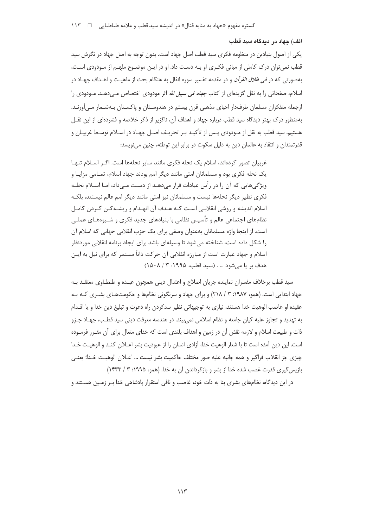الف) جهاد در دیدگاه سید قطب

یکی از اصول بنیادین در منظومه فکری سید قطب اصل جهاد است. بدون توجه به اصل جهاد در نگرش سید قطب نمی توان درک کاملی از مبانی فکـری او بـه دسـت داد. او در ایـن موضـوع ملهـم از مـودودی اسـت، بهصورتی که در *فی ظلال القرآن* و در مقدمه تفسیر سوره انفال به هنگام بحث از ماهیـت و اهـداف جهـاد در اسلام، صفحاتی را به نقل گزیدهای از کتاب *جهاد فی سبیل الله* اثر مودودی اختصاص مـی‹هـد. مـودودی را ازجمله متفكران مسلمان طرفدار احياى مذهبى قرن بيستم در هندوسـتان و پاكسـتان بـهشـمار مـىآورنـد. بهمنظور درک بهتر دیدگاه سید قطب درباره جهاد و اهداف آن، ناگزیر از ذکر خلاصه و فشردهای از این نقـل هستیم. سید قطب به نقل از مـودودی پـس از تأکیـد بـر تحریـف اصـل جهـاد در اسـلام توسـط غربیـان و قدرتمندان و انتقاد به عالمان دین به دلیل سکوت در برابر این توطئه، چنین می نویسد:

غربیان تصور کردهاند، اسلام یک نحله فکری مانند سایر نحلهها است. اگـر اســلام تنهـا یک نحله فکری بود و مسلمانان امتی مانند دیگر امم بودند جهاد اسلام، تمـامی مزایـا و ویژگے هایی که آن را در رأس عبادات قرار مے دهـد از دسـت مـے داد، امـا اسـلام نحلـه فکری نظیر دیگر نحلهها نیست و مسلمانان نیز امتی مانند دیگر امم عالم نیستند، بلکـه اسلام اندیشه و روشی انقلابی است کـه هـدف آن انهـدام و ریشـهکـن کـردن کامـل نظامهای اجتماعی عالم و تأسیس نظامی با بنیادهای جدید فکری و شـیوههـای عملـی است. از اینجا واژه مسلمانان بهعنوان وصفی برای یک حزب انقلابی جهانی که اسلام آن را شکل داده است، شناخته میشود تا وسیلهای باشد برای ایجاد برنامه انقلابی موردنظر اسلام و جهاد عبارت است از مبارزه انقلابی آن حرکت ذاتاً مستمر که برای نیل به ایـن هدف بر یا می شود ... . (سید قطب، ۱۹۹۵: ۰۸/ ۱۵۰۸)

سید قطب برخلاف مفسران نماینده جریان اصلاح و اعتدال دینی همچون عبـده و طنطـاوی معتقـد بـه جهاد ابتدایی است. (همو، ۱۹۸۷: ۳ / ۲۱۸) و برای جهاد و سرنگونی نظامها و حکومتهای بشـری کـه بـه عقيده او غاصب الوهيت خدا هستند، نيازي به توجيهاتي نظير سدكردن راه دعوت و تبليغ دين خدا و يا اقــدام به تهدید و تجاوز علیه کیان جامعه و نظام اسلامی نمی،یند. در هندسه معرفت دینی سید قطـب، جهـاد جـزو ذات و طبیعت اسلام و لازمه نقش آن در زمین و اهداف بلندی است که خدای متعال برای آن مقـرر فرمـوده است. این دین آمده است تا با شعار الوهیت خدا، آزادی انسان را از عبودیت بشر اعـلان کنـد و الوهیـت خـدا چيزي جز انقلاب فراگير و همه جانبه عليه صور مختلف حاكميت بشر نيست … اعـلان الوهيـت خـدا؛ يعنـي بازیس گیری قدرت غصب شده خدا از بشر و بازگرداندن آن به خدا. (همو، ۱۹۹۵: ۳ / ۱۴۳۳)

در این دیدگاه، نظامهای بشری بنا به ذات خود، غاصب و نافی استقرار یادشاهی خدا بـر زمـین هسـتند و

 $\frac{1}{4}$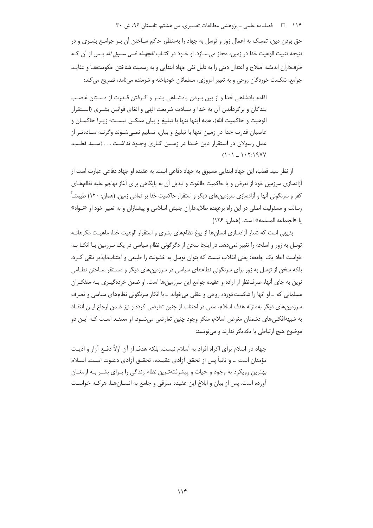۱۱۴ هـ - فصلنامه علمي ـ پژوهشي مطالعات تفسيري، س هشتم، تابستان ۹۶، ش ۳۰

حق بودن دین، تمسک به اعمال زور و توسل به جهاد را بهمنظور حاکم سـاختن آن بـر جوامـع بشــری و در نتیجه تثبیت الوهیت خدا در زمین، مجاز می سـازد. او خـود در کتـاب *الجهـاد فـی سـبیل الله* پـس از آن کـه طرفداران انديشه اصلاح و اعتدال ديني را به دليل نفي جهاد ابتدايي و به رسميت شناختن حكومتهـا و عقايـد جوامع، شکست خوردگان روحی و به تعبیر امروزی، مسلمانان خودباخته و شرمنده می نامد، تصریح می کند:

اقامه پادشاهی خدا و از بین بـردن پادشـاهی بشـر و گـرفتن قـدرت از دسـتان غاصـب بندگان و برگرداندن آن به خدا و سیادت شریعت الهی و الغای قوانین بشـری (اسـتقرار الوهيت و حاكميت الله)، همه اينها تنها با تبليغ و بيان ممكــن نيســت؛ زيــرا حاكمــان و غاصبان قدرت خدا در زمین تنها با تبلیغ و بیان، تسلیم نمـیشـوند وگرنـه سـادهتـر از عمل رسولان در استقرار دین خـدا در زمـین کـاری وجـود نداشـت … . (سـید قطـب،  $(1 - 1 - 1 - 1)$ 

از نظر سید قطب، این جهاد ابتدایی مسبوق به جهاد دفاعی است. به عقیده او جهاد دفاعی عبارت است از آزادسازی سرزمین خود از تعرض و یا حاکمیت طاغوت و تبدیل آن به پایگاهی برای آغاز تهاجم علیه نظامهـای کفر و سرنگونی آنها و آزادسازی سرزمینهای دیگر و استقرار حاکمیت خدا بر تمامی زمین. (همان: ۱۲۰) طبیعتـاً رسالت و مسئولیت اصلی در این راه برعهده طلایهداران جنبش اسلامی و پیشتازان و به تعبیر خود او «نـواه» يا «الجماعه المسلمه» است. (همان: ١٢۶)

بدیهی است که شعار آزادسازی انسانها از یوغ نظامهای بشری و استقرار الوهیت خدا، ماهیـت مکرهانـه توسل به زور و اسلحه را تغییر نمی دهد. در اینجا سخن از دگرگونی نظام سیاسی در یک سرزمین بـا اتکـا بـه خواست آحاد یک جامعه؛ یعنی انقلاب نیست که بتوان توسل به خشونت را طبیعی و اجتنابناپذیر تلقی کـرد، بلکه سخن از توسل به زور برای سرنگونی نظامهای سیاسی در سرزمینهای دیگر و مسـتقر سـاختن نظـامی نوین به جای آنها، صرف:نظر از اراده و عقیده جوامع این سرزمین ها است. او ضمن خردهگیـری بـه متفکـران مسلمانی که \_او اّنها را شکستخورده روحی و عقلی میخواند \_ با انکار سرنگونی نظامهای سیاسی و تصرف سرزمینهای دیگر بهمنزله هدف اسلام، سعی در اجتناب از چنین تعارضی کرده و نیز ضمن ارجاع ایـن انتقـاد به شبههافکنیهای دشمنان مغرض اسلام، منکر وجود چنین تعارضی میشـود، او معتقـد اسـت کـه ایـن دو موضوع هیچ ارتباطی با یکدیگر ندارند و می نویسد:

جهاد در اسلام برای اکراه افراد به اسلام نیست، بلکه هدف از آن اولاً دفـع آزار و اذیـت مؤمنان است … و ثانياً پس از تحقق آزادي عقيـده، تحقــق آزادي دعــوت اســت. اســلام بهترین رویکرد به وجود و حیات و پیشرفتهترین نظام زندگی را بـرای بشـر بـه ارمغـان آورده است. پس از بیان و ابلاغ این عقیده مترقی و جامع به انسـانهـا، هرکـه خواسـت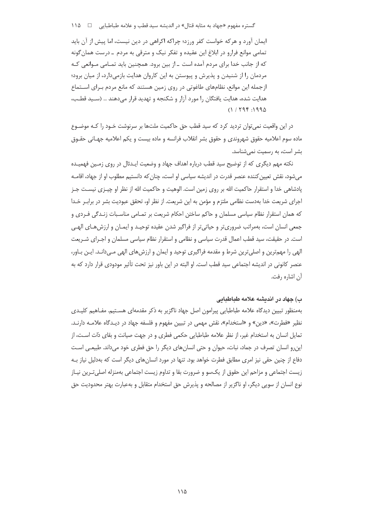گستره مفهوم «جهاد به مثابه قتال» در اندیشه سید قطب و علامه طباطبایی ه ه ۱۱۵ مسموم «جهاد به مثابه قتال»

ایمان آورد و هرکه خواست کفر ورزد؛ چراکه اکراهی در دین نیست، اما پیش از آن باید تمامي موانع فرارو در ابلاغ اين عقيده و تفكر نيک و مترقى به مردم ــ درست همان گونه که از جانب خدا برای مردم آمده است ـ از بین برود. همچنین باید تمـامی مـوانعی کـه مردمان را از شنیدن و پذیرش و پیوستن به این کاروان هدایت بازمیدارد، از میان برود؛ ازجمله این موانع، نظامهای طاغوتی در روی زمین هستند که مانع مردم بـرای اسـتماع هدایت شده، هدایت یافتگان را مورد آزار و شکنجه و تهدید قرار میدهند … (سـید قطـب،  $(11799:1990$ 

در این واقعیت نمی توان تردید کرد که سید قطب حق حاکمیت ملتها بر سرنوشت خـود را کـه موضـوع ماده سوم اعلامیه حقوق شهروندی و حقوق بشر انقلاب فرانسه و ماده بیست و یکم اعلامیه جهـانی حقــوق بشر است، به رسمیت نمی شناسد.

نکته مهم دیگری که از توضیح سید قطب درباره اهداف جهاد و وضعیت ایـدئال در روی زمـین فهمیـده می شود، نقش تعیین کننده عنصر قدرت در اندیشه سیاسی او است، چنان که دانستیم مطلوب او از جهاد، اقامــه یادشاهی خدا و استقرار حاکمیت الله بر روی زمین است. الوهیت و حاکمیت الله از نظر او چیـزی نیسـت جـز اجرای شریعت خدا بهدست نظامی ملتزم و مؤمن به این شریعت. از نظر او، تحقق عبودیت بشر در برابـر خـدا که همان استقرار نظام سیاسی مسلمان و حاکم ساختن احکام شریعت بر تمـامی مناسـبات زنـدگی فـردی و جمعی انسان است، بهمراتب ضروریتر و حیاتیتر از فراگیر شدن عقیده توحیـد و ایمـان و ارزش۱عـای الهـی است. در حقیقت، سید قطب اعمال قدرت سیاسی و نظامی و استقرار نظام سیاسی مسلمان و اجـرای شـریعت الهي را مهمترين و اصلي ترين شرط و مقدمه فراگيري توحيد و ايمان و ارزش هاي الهي مـي دانـد. ايـن بـاور، عنصر کانونی در اندیشه اجتماعی سید قطب است. او البته در این باور نیز تحت تأثیر مودودی قرار دارد که به آن اشاره رفت.

# ب) جهاد در اندیشه علامه طباطبایی

بهمنظور تبیین دیدگاه علامه طباطبایی پیرامون اصل جهاد ناگزیر به ذکر مقدمهای هسـتیم. مفـاهیم کلیـدی نظیر «فطرت»، «دین» و «استخدام»، نقش مهمی در تبیین مفهوم و فلسفه جهاد در دیـدگاه علامـه دارنـد. تمایل انسان به استخدام غیر، از نظر علامه طباطبایی حکمی فطری و در جهت صیانت و بقای ذات است، از این٫رو انسان تصرف در جماد، نبات، حیوان و حتی انسانهای دیگر را حق فطری خود میداند. طبیعـی اسـت دفاع از چنین حقی نیز امری مطابق فطرت خواهد بود. تنها در مورد انسان های دیگر است که بهدلیل نیاز بـه زیست اجتماعی و مزاحم این حقوق از یکسو و ضرورت بقا و تداوم زیست اجتماعی بهمنزله اصلیترین نیـاز نوع انسان از سویی دیگر، او ناگزیر از مصالحه و پذیرش حق استخدام متقابل و بهعبارت بهتر محدودیت حق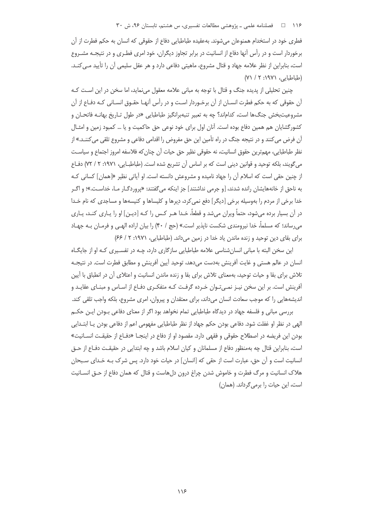### ۱۱۶ فصلنامه علمی ـ پژوهشی مطالعات تفسیری، س هشتم، تابستان ۹۶، ش ۳۰

فطری خود در استخدام همنوعان می شوند. به عقیده طباطبایی دفاع از حقوقی که انسان به حکم فطرت از آن برخوردار است و در رأس آنها دفاع از انسانیت در برابر تجاوز دیگران، خود امری فطـری و در نتیجـه مشـروع است، بنابراین از نظر علامه جهاد و قتال مشروع، ماهیتی دفاعی دارد و هر عقل سلیمی آن را تأیید مـی کنـد. (طباطبایی، ۱۹۷۱: ۲ / ۷۱)

چنین تحلیلی از پدیده جنگ و قتال با توجه به مبانی علامه معقول مینماید، اما سخن در این است کـه آن حقوقی که به حکم فطرت انســان از آن برخــوردار اســت و در رأس آنهــا حقــوق انســانی کــه دفــاع از آن مشروعیتبخش جنگها است، کداماند؟ چه به تعبیر تنبهبرانگیز طباطبایی «در طول تـاریخ بهانــه فاتحـان و کشورگشایان هم همین دفاع بوده است. آنان اول برای خود نوعی حق حاکمیت و یا … کمبود زمین و امثـال آن فرض می کنند و در نتیجه جنگ در راه تأمین این حق مفروض را اقدامی دفاعی و مشروع تلقی می کننـد.» از نظر طباطبايي، مهم ترين حقوق انسانيت، نه حقوقي نظير حق حيات آن چنان كه فلاسفه امروز اجتماع و سياسـت می گویند، بلکه توحید و قوانین دینی است که بر اساس آن تشریع شده است. (طباطب|یی، ۱۹۷۱: ۲ / ۷۲) دفـاع از چنین حقی است که اسلام آن را جهاد نامیده و مشروعش دانسته است. او آیاتی نظیر «[همان] کسانی کـه به ناحق از خانههایشان رانده شدند، [و جرمی نداشتند] جز اینکه میگفتند: «پروردگـار مـا، خداسـت.»؛ و اگـر خدا برخی از مردم را بهوسیله برخی [دیگر] دفع نمی کرد، دِیرها و کلیساها و کنیسهها و مساجدی که نام خـدا در آن بسیار برده میشود، حتماً ویران میشد و قطعاً، خـدا هـر کـس را کـه [دیـن] او را یـاری کنـد، یـاری می رساند؛ که مسلماً، خدا نیرومندی شکست ناپذیر است.» (حج / ۴۰) را بیان اراده الهمی و فرمـان بـه جهـاد برای بقای دین توحید و زنده ماندن یاد خدا در زمین می داند. (طباطبایی، ۱۹۷۱: ۲/ ۶۶)

این سخن البته با مبانی انسان شناسی علامه طباطبایی سازگاری دارد، چـه در تفسـیری کـه او از جایگـاه انسان در عالم هستی و غایت آفرینش بهدست میدهد، توحید آیین آفرینش و مطابق فطرت است. در نتیجـه تلاش برای بقا و حیات توحید، بهمعنای تلاش برای بقا و زنده ماندن انسانیت و اعتلای آن در انطباق با آیین آفرینش است. بر این سخن نیـز نمـیتـوان خـرده گرفـت کـه متفکـری دفـاع از اسـاس و مبنـای عقایـد و اندیشههایی را که موجب سعادت انسان میداند، برای معتقدان و پیروان، امری مشروع، بلکه واجب تلقی کند.

بررسی مبانی و فلسفه جهاد در دیدگاه طباطبایی تمام نخواهد بود اگر از معنای دفاعی بـودن ایـن حکـم الهی در نظر او غفلت شود. دفاعی بودن حکم جهاد از نظر طباطبایی مفهومی اعم از دفاعی بودن یـا ابتـدایی بودن این فریضه در اصطلاح حقوقی و فقهی دارد. مقصود او از دفاع در اینجـا «دفـاع از حقیقـت انســانیت» است، بنابراین قتال چه بهمنظور دفاع از مسلمانان و کیان اسلام باشد و چه ابتدایی در حقیقت دفـاع از حـق انسانیت است و آن حق، عبارت است از حقی که [انسان] در حیات خود دارد. پس شرک بـه خـدای سـبحان هلاک انسانیت و مرگ فطرت و خاموش شدن چراغ درون دلهاست و قتال که همان دفاع از حـق انســانیت است، این حیات را برمیگرداند. (همان)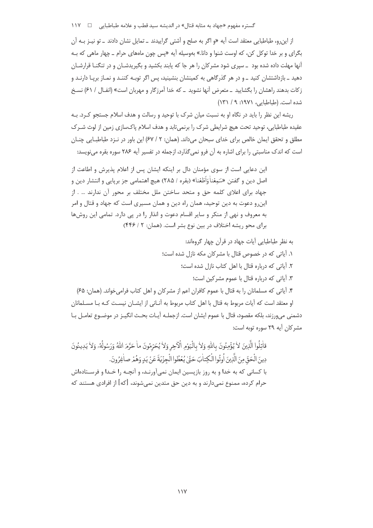گستره مفهوم «جهاد به مثابه قتال» در اندیشه سید قطب و علامه طباطبایی □ ١١٧

از این٫رو، طباطبایی معتقد است آیه «و اگر به صلح و آشتی گراییدند ـ تمایل نشان دادند ـ تو نیـز بـه آن بگرای و بر خدا توکل کن، که اوست شنوا و دانا.» بهوسیله آیه «پس چون ماههای حرام ـ چهار ماهی که بـه آنها مهلت داده شده بود \_سپری شود مشرکان را هر جا که پابند بکشید و بگیریدشـان و در تنگنـا قرارشـان دهید ـ بازداشتشان کنید ـ و در هر گذرگاهی به کمینشان بنشینید، پس اگر توبـه کننـد و نمـاز برپـا دارنـد و زكات بدهند راهشان را بگشاييد \_ متعرض آنها نشويد \_ كه خدا آمرزگار و مهربان است» (انفـال / ۶۱) نسـخ شده است. (طباطبایی، ۱۹۷۱: ۹/ ۱۳۱)

ریشه این نظر را باید در نگاه او به نسبت میان شرک با توحید و رسالت و هدف اسلام جستجو کـرد. بـه عقیده طباطبایی، توحید تحت هیچ شرایطی شرک را برنمیتابد و هدف اسلام پاکسازی زمین از لوث شـرک مطلق و تحقق ایمان خالص برای خدای سبحان میداند. (همان: ٢ / ۶۷) این باور در نـزد طباطبـایی چنـان است که اندک مناسبتی را برای اشاره به آن فرو نمی گذارد، ازجمله در تفسیر آیه ۲۸۶ سوره بقره می نویسد:

این دعایی است از سوی مؤمنان دال بر اینکه ایشان پس از اعلام پذیرش و اطاعت از اصل دين و گفتن «سَمِعْناْ وَاَطَعْنا» (بقره / ٢٨۵) هيچ اهتمامي جز بريايي و انتشار دين و جهاد برای اعلای کلمه حق و متحد ساختن ملل مختلف بر محور آن ندارند … . از این,و دعوت به دین توحید، همان راه دین و همان مسیری است که جهاد و قتال و امر به معروف و نهی از منکر و سایر اقسام دعوت و انذار را در پی دارد. تمامی این روشها برای محو ریشه اختلاف در بین نوع بشر است. (همان: ۲ / ۴۴۶)

> به نظر طباطبایی آیات جهاد در قرآن چهار گروهاند: ١. آیاتی که در خصوص قتال با مشرکان مکه نازل شده است؛ ٢. آیاتی که درباره قتال با اهل کتاب نازل شده است؛ ٣. آياتي كه درباره قتال با عموم مشركين است؛

۴. آیاتی که مسلمانان را به قتال با عموم کافران اعم از مشرکان و اهل کتاب فرامیخواند. (همان: ۶۵) او معتقد است که آیات مربوط به قتال با اهل کتاب مربوط به آنـانی از ایشــان نیسـت کـه بـا مســلمانان دشمنی می1ورزند، بلکه مقصود، قتال با عموم ایشان است. ازجملـه آیـات بحـث انگیـز در موضـوع تعامـل بـا مشر کان آیه ۲۹ سوره توبه است:

قاٰتِلُوا الَّذِينَ لا يُؤْمِنُونَ بِاللهِ وَلاٰ بِالْيَوْمِ الْأَحِرِ وَلاٰ يُحَرِّمُونَ ما حَرَّمَ اللهُ وَرَسُولُهُۥ وَلاٰ يَدِينُونَ دِينَ الْحَقِّ مِنَ الَّذِينَ أُوتُوا الْكِتاٰبَ حَتَّىٰ يُعْطُوا الْجِزْيَةَ عَنْ يَدٍ وَهُمْ صاغِرُونَ. با کسانی که به خدا و به روز بازیسین ایمان نمیآورنـد، و آنچـه را خـدا و فرسـتادهاش حرام کرده، ممنوع نمیدارند و به دین حق متدین نمیشوند، [که] از افرادی هستند که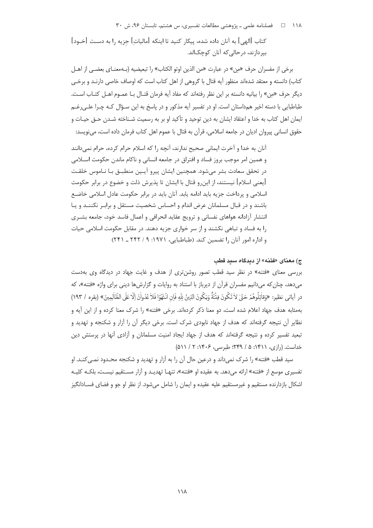# ۱۱۸ □ فصلنامه علمي ـ پژوهشي مطالعات تفسيري، س هشتم، تابستان ۹۶، ش ۳۰

كتاب [الهي] به آنان داده شده، ييكار كنيد تا اينكه [ماليات] جزيه را به دست [خـود] بیردازند، در حالے که آنان کوچکاند.

برخي از مفسران حرف «مِن» در عبارت «من الذين اوتو الكتاب» را تبعيضيه (بـهمعنـاي بعضـي از اهـل كتاب) دانسته و معتقد شدهاند منظور آيه قتال با گروهي از اهل كتاب است كه اوصاف خاصي دارنـد و برخـي ديگر حرف «مِن» را بيانيه دانسته بر اين نظر رفتهاند كه مفاد آيه فرمان قتـال بـا عمـوم اهـل كتـاب اسـت. طباطبایی با دسته اخیر همداستان است. او در تفسیر آیه مذکور و در پاسخ به این سـؤال کـه چـرا علـی(غـم ایمان اهل کتاب به خدا و اعتقاد ایشان به دین توحید و تأکید او بر به رسمیت شـناخته شـدن حــق حیـات و حقوق انسانی پیروان ادیان در جامعه اسلامی، قرآن به قتال با عموم اهل کتاب فرمان داده است، می،ویسد:

آنان به خدا و آخرت ایمانی صحیح ندارند، آنچه را که اسلام حرام کرده، حرام نمی دانند و همين امر موجب بروز فساد و افتراق در جامعه انساني و ناكام ماندن حكومت اسـلامي در تحقق سعادت بشر میشود. همچنین ایشان پیرو آیـین منطبـق بـا نـاموس خلقـت [يعني اسلام] نيستند، از اين٫و قتال با ايشان تا پذيرش ذلت و خضوع در برابر حكومت اسلامی و پرداخت جزیه باید ادامه یابد. آنان باید در برابر حکومت عادل اسلامی خاضع باشند و در قبال مسلمانان عرض اندام و احساس شخصیت مستقل و برابـر نکننــد و یـا انتشار آزادانه هواهای نفسانی و ترویج عقاید انحرافی و اعمال فاسد خود، جامعه بشـری را به فساد و تباهی نکشند و از سر خواری جزیه دهند. در مقابل حکومت اسلامی حیات و اداره امور آنان را تضمین کند. (طباطبایی، ۱۹۷۱: ۹/ ۲۴۲ ـ ۲۴۱)

### ج) معنای «فتنه» از دیدگاه سید قطب

بررسی معنای «فتنه» در نظر سید قطب تصور روشنتری از هدف و غایت جهاد در دیدگاه وی بهدست می دهد، چنان که می دانیم مفسران قرآن از دیرباز با استناد به روایات و گزارش ها دینی برای واژه «فتنه»، که در آياتي ، نظير: «وَقاٰتِلُوهُمْ حَقٌّ لاٰ تَكُونَ فِتْنَةٌ وَيَكُونَ الدِّينُ لِلَّهِ فَإِن انْتَهَوَا فَلأ عُدُواْنَ إِلَّا عَلَى الظّاٰلِمِينَ» (بقره / ١٩٣) بهمثابه هدف جهاد اعلام شده است، دو معنا ذکر کردهاند. برخی «فتنه» را شرک معنا کرده و از این آیه و نظایر آن نتیجه گرفتهاند که هدف از جهاد نابودی شرک است. برخی دیگر آن را آزار و شکنجه و تهدید و تبعید تفسیر کرده و نتیجه گرفتهاند که هدف از جهاد ایجاد امنیت مسلمانان و آزادی آنها در پرستش دین خداست. (رازی، ۱۴۱۱: ۵ / ۲۴۹؛ طبرسی، ۱۴۰۶: ۲ / ۵۱۱)

سید قطب «فتنه» را شرک نمیداند و درعین حال آن را به آزار و تهدید و شکنجه محـدود نمـی *کنـ*د. او تفسیری موسع از «فتنه» ارائه میدهد. به عقیده او «فتنه»، تنهـا تهدیـد و آزار مسـتقیم نیسـت، بلکـه کلیـه اشکال بازدارنده مستقیم و غیرمستقیم علیه عقیده و ایمان را شامل میشود. از نظر او جو و فضای فسـادانگیز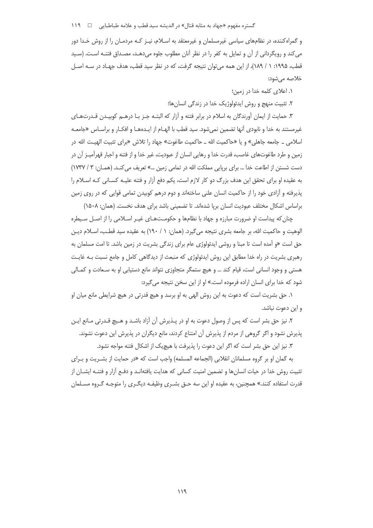و گمراه کننده، در نظامهای سیاسی غیرمسلمان و غیرمعتقد به اسـلام، نیـز کـه مردمـان را از روش خـدا دور می کند و رویگردانی از آن و تمایل به کفر را در نظر آنان مطلوب جلوه می دهـد، مصـداق فتنـه اسـت. (سـید قطب، ۱۹۹۵: ۱ / ۱۸۹)، از این همه می توان نتیجه گرفت، که در نظر سید قطب، هدف جهـاد در سـه اصـل خلاصه میشود:

۰۱. اعلای کلمه خدا در زمین؛

۲. تثبیت منهج و روش ایدئولوژیک خدا در زندگی انسانها؛

۳. حمایت از ایمان آورندگان به اسلام در برابر فتنه و آزار که البتـه جـز بـا درهـم کوبیـدن قـدرتهـای غیرمستند به خدا و نابودی آنها تضمین نمیشود. سید قطب با الهـام از ایــدههـا و افکـار و براسـاس «جامعــه اسلامی \_ جامعه جاهلی» و یا «حاکمیت الله \_ حاکمیت طاغوت» جهاد را تلاش «برای تثبیت الهیـت الله در زمین و طرد طاغوتهای غاصب، قدرت خدا و رهایی انسان از عبودیت، غیر خدا و از فتنه و اجبار قهرآمیـز آن در دست شستن از اطاعت خدا … براي برپايي مملكت الله در تمامي زمين …» تعريف مي كنـد. (همـان: ٣ / ١٧٣٧) به عقیده او برای تحقق این هدف بزرگ دو کار لازم است، یکم دفع آزار و فتنه علیـه کسـانی کـه اسـلام را پذیرفته و آزادی خود را از حاکمیت انسان علنی ساختهاند و دوم درهم کوبیدن تمامی قوایی که در روی زمین براساس اشكال مختلف عبوديت انسان بريا شدهاند. تا تضميني باشد براي هدف نخست. (همان: ١۵٠٨)

چنان که پیداست او ضرورت مبارزه و جهاد با نظامها و حکومـتهـای غیـر اسـلامی را از اصـل سـیطره الوهيت و حاكميت الله، بر جامعه بشرى نتيجه مى گيرد. (همان: ١ / ١٩٠) به عقيده سيد قطـب، اسـلام ديـن حق است «و آمده است تا مبنا و روشی ایدئولوژی عام برای زندگی بشریت در زمین باشد. تا امت مسلمان به رهبری بشریت در راه خدا مطابق این روش ایدئولوژی که منبعث از دیدگاهی کامل و جامع نسبت بـه غایـت هستی و وجود انسانی است، قیام کند … و هیچ ستمگر متجاوزی نتواند مانع دستیابی او به سـعادت و کمـالی شود که خدا برای انسان اراده فرموده است.» او از این سخن نتیجه می *گ*یرد:

١. حق بشريت است كه دعوت به اين روش الهي به او برسد و هيچ قدرتي در هيچ شرايطي مانع ميان او و این دعوت نباشد.

۲. نیز حق بشر است که پس از وصول دعوت به او در پــذیرش آن آزاد باشــد و هــیچ قــدرتی مــانع ایــن يذيرش نشود و اگر گروهي از مردم از پذيرش آن امتناع كردند، مانع ديگران در پذيرش اين دعوت نشوند.

۳. نیز این حق بشر است که اگر این دعوت را پذیرفت با هیچ یک از اشکال فتنه مواجه نشود.

به گمان او بر گروه مسلمانان انقلابی (الجماعه المسلمه) واجب است که «در حمایت از بشـریت و بـرای تثبیت روش خدا در حیات انسانِ ها و تضمین امنیت کسانی که هدایت یافتهانـد و دفـع آزار و فتنـه ایشــان از قدرت استفاده کنند.» همچنین، به عقیده او این سه حــق بشــری وظیفــه دیگــری را متوجــه گــروه مســلمان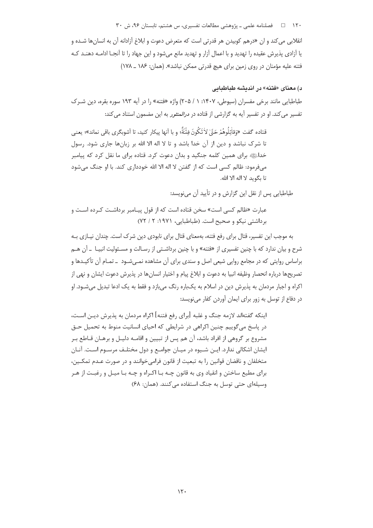۱۲۰ □ فصلنامه علمی ـ یژوهشی مطالعات تفسیری، س هشتم، تابستان ۹۶، ش ۳۰

انقلابی می کند و ان «درهم کوبیدن هر قدرتی است که متعرض دعوت و ابلاغ آزادانه آن به انسانها شـده و یا آزادی پذیرش عقیده را تهدید و با اعمال آزار و تهدید مانع می شود و این جهاد را تا آنجـا ادامـه دهنـد کـه فتنه عليه مؤمنان در روى زمين براى هيچ قدرتى ممكن نباشد». (همان: ١٨۶ \_ ١٧٨)

# د) معنای «فتنه» در اندیشه طباطبایی

طباطبایی مانند برخی مفسران (سیوطی، ۱۴۰۷: ۱ / ۲۰۵) واژه «فتنه» را در آیه ۱۹۳ سوره بقره، دین شـرک تفسیر می کند. او در تفسیر آیه به گزارشی از قتاده در *درالمنثور* به این مضمون استناد می کند:

قتاده گفت «وَقاٰتِلُوهُمْ حَقّ لاٰ تَكُونَ فِتُنَةً؛ و با أنها ييكار كنيد، تا أشوبگرى باقى نماند»؛ يعني تا شرک نباشد و دین از آن خدا باشد و تا لا اله الا الله بر زبانها جاری شود. رسول خداءی برای همین کلمه جنگید و بدان دعوت کرد. قتاده برای ما نقل کرد که پیامبر میفرمود: ظالم کسی است که از گفتن لا اله الا الله خودداری کند. با او جنگ می شود تا یگوید لا اله الا الله.

طباطبایی پس از نقل این گزارش و در تأیید آن می نویسد:

عبارت «ظالم كسى است» سخن قتاده است كه از قول پيـامبر برداشـت كـرده اسـت و برداشتی نیکو و صحیح است. (طباطبایی، ۱۹۷۱: ۲ / ۷۲)

به موجب این تفسیر، قتال برای رفع فتنه، بهمعنای قتال برای نابودی دین شرک است. چندان نیـازی بـه شرح و بیان ندارد که با چنین تفسیری از «فتنه» و با چنین برداشـتی از رسـالت و مسـئولیت انبیـا ــ آن هـم براساس روایتی که در مجامع روایی شیعی اصل و سندی برای آن مشاهده نمـی شـود \_ تمـام آن تأکیـدها و تصريحها درباره انحصار وظيفه انبيا به دعوت و ابلاغ پيام و اختيار انسان ها در پذيرش دعوت ايشان و نهي از اکراه و اجبار مردمان به پذیرش دین در اسلام به یکباره رنگ میبازد و فقط به یک ادعا تبدیل می شـود. او در دفاع از توسل به زور برای ایمان آوردن کفار می نویسد:

اینکه گفتهاند لازمه جنگ و غلبه [برای رفع فتنه] اکراه مردمان به پذیرش دیـن اسـت، در پاسخ می گوییم چنین اکراهی در شرایطی که احیای انسانیت منوط به تحمیل حـق مشروع بر گروهی از افراد باشد، آن هم پس از تبیین و اقامـه دلیـل و برهـان قـاطع بـر ایشان اشکالی ندارد. ایـن شـیوه در میـان جوامـع و دول مختلـف مرسـوم اسـت. آنـان متخلفان و ناقضان قوانین ,ا به تبعیت از قانون فرامی خوانند و در صورت عـدم تمکــین، برای مطیع ساختن و انقیاد وی به قانون چـه بـا اکـراه و چـه بـا میـل و رغبـت از هـر وسیلهای حتی توسل به جنگ استفاده می کنند. (همان: ۶۸)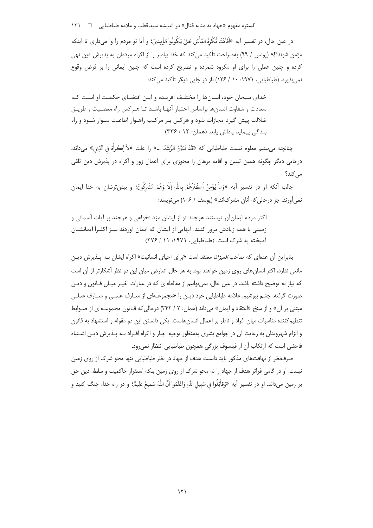گستره مفهوم «جهاد به مثابه قتال» در اندیشه سید قطب و علامه طباطبایی □ ١٢١

در عين حال، در تفسير آيه «اَفَاَنْتَ تُكْرِهُ النّاٰسَ حَقّ' يَكُونُوا مُؤْمِنِينَ؛ و آيا تو مردم را وا مي داري تا اينكه مؤمن شوند؟!» (یونس / ٩٩) بهصراحت تأکید می کند که خدا پیامبر را از اکراه مردمان به پذیرش دین نهی کرده و چنین عملی را برای او مکروه شمرده و تصریح کرده است که چنین ایمانی را بر فرض وقوع نمر،بذیرد. (طباطیایی، ۱۹۷۱: ۱۰ / ۱۲۶) باز در حایی دیگر تأکید می کند:

خدای سبحان خود، انسانها را مختلـف آفریـده و ایـن اقتضـای حکمـت او اسـت کـه سعادت و شقاوت انسانها براساس اختیار آنهـا باشـد تـا هـرکس راه معصـیت و طریـق ضلالت پیش گیرد مجازات شود و هرکس بـر مرکـب راهـوار اطاعـت سـوار شـود و راه بندگی پیماید یاداش یابد. (همان: ١٢ / ٣٣۶)

چنانچه ميeبينيم معلوم نيست طباطبايي كه «قَدْ تَبَيَّنَ الرُّشُدُ …» را علت «لاٰ اِڪُراٰهَ في الدِّين» مي<اند، درجایی دیگر چگونه همین تبیین و اقامه برهان را مجوزی برای اعمال زور و اکراه در پذیرش دین تلقی مے ,کند؟

جالب أنكه او در تفسير أيه «وَماْ يُؤْمِنُ اَكْعَرُهُمْ بِاللّٰهِ إِلَّا وَهُمْ مُشْرِكُونَ؛ و بيش ترشان به خدا ايمان نمي آورند، جز درحالي كه آنان مشركاند.» (يوسف / ۱۰۶) مي نويسد:

اکثر مردم ایمانآور نیستند هرچند تو از ایشان مزد نخواهی و هرچند بر آیات آسمانی و زمینی با همه زیادش مرور کنند. آنهایی از ایشان که ایمان آوردند نیـز اکثـراً ایمانشـان آمیخته به شرک است. (طباطبایی، ۱۹۷۱: ۱۱ / ۲۷۶)

بنابراین آن عدمای که صاحب *المیزان* معتقد است «برای احیای انسانیت» اکراه ایشان بـه پــذیرش دیــن مانعی ندارد، اکثر انسان های روی زمین خواهند بود. به هر حال، تعارض میان این دو نظر آشکارتر از آن است که نیاز به توضیح داشته باشد. در عین حال، نمی توانیم از مغالطهای که در عبارات اخیـر میـان قـانون و دیـن صورت گرفته، چشم بپوشیم. علامه طباطبایی خود دیـن را «مجموعـهای از معـارف علمـی و معـارف عملـی مبتنی بر آن» و از سنخ «اعتقاد و ایمان» می داند (همان: ۲ / ۳۴۲) درحالی که قـانون مجموعـهای از ضـوابط تنظیم کننده مناسبات میان افراد و ناظر بر اعمال انسان هاست. یکی دانستن این دو مقوله و استشهاد به قانون و الزام شهروندان به رعایت آن در جوامع بشری بهمنظور توجیه اجبار و اکراه افـراد بـه پـذیرش دیـن اشـتباه فاحشی است که ارتکاب آن از فیلسوف بزرگی همچون طباطبایی انتظار نمی رود.

صرفنظر از تهافتهای مذکور باید دانست هدف از جهاد در نظر طباطبایی تنها محو شرک از روی زمین نیست. او در گامی فراتر هدف از جهاد را نه محو شرک از روی زمین بلکه استقرار حاکمیت و سلطه دین حق بر زمین میداند. او در تفسیر آیه «وَقاٰتِلُوا في سَبيل اللهِ وَاعْلَمُوٓا اَنَّ اللهَ سَمِيعٌ عَلِيمٌ؛ و در راه خدا، جنگ كنيد و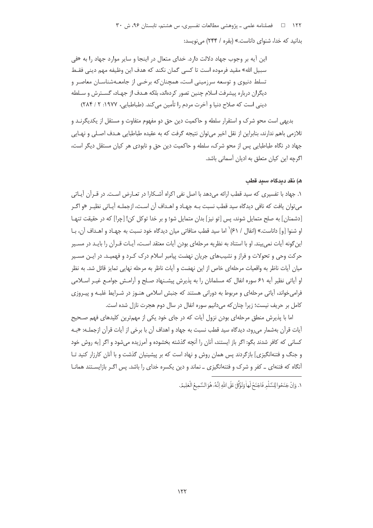این آیه بر وجوب جهاد دلالت دارد. خدای متعال در اینجا و سایر موارد جهاد را به «فی سبيل الله» مقيد فرموده است تا كسي گمان نكند كه هدف اين وظيفه مهم ديني فقـط تسلط دنیوی و توسعه سرزمینی است، همچنان که برخـی از جامعـهشناسـان معاصـر و دیگران درباره پیشرفت اسلام چنین تصور کردهاند، بلکه هـدف از جهـاد، گسـترش و سـلطه ديني است كه صلاح دنيا و آخرت مردم را تأمين مي كند. (طباطبايي، ١٩٧٧: ٢ / ٢٨۴)

بديهي است محو شرک و استقرار سلطه و حاکميت دين حق دو مفهوم متفاوت و مستقل از يکديگرنــد و تلازمی باهم ندارند، بنابراین از نقل اخیر می توان نتیجه گرفت که به عقیده طباطبایی هـدف اصـلی و نهـایی جهاد در نگاه طباطبایی پس از محو شرک، سلطه و حاکمیت دین حق و نابودی هر کیان مستقل دیگر است، اگرچه این کیان متعلق به ادیان آسمانی باشد.

# ه) نقد دىدگاه سىد قطب

١. جهاد با تفسیری که سید قطب ارائه میدهد با اصل نفی اکراه آشـکارا در تعـارض اسـت. در قـرآن آيـاتی می¤وان یافت که نافی دیدگاه سید قطب نسبت بـه جهـاد و اهـداف آن اسـت، ازجملـه آيـاتی نظيـر «و اگـر [دشمنان] به صلح متمایل شوند، پس [تو نیز] بدان متمایل شو؛ و بر خدا توکل کن! [چرا] که در حقیقت تنهـا او شنوا [و] داناست.» (انفال / ۶۱) ٰ اما سيد قطب منافاتي ميان ديدگاه خود نسبت به جهـاد و اهـداف آن، بـا این گونه آیات نمی بیند. او با استناد به نظریه مرحلهای بودن آیات معتقد اسـت، آیـات قــرآن را بایــد در مســیر حرکت وحی و تحولات و فراز و نشیبهای جریان نهضت پیامبر اسلام درک کـرد و فهمیـد. در ایـن مسـیر میان آیات ناظر به واقعیات مرحلهای خاص از این نهضت و آیات ناظر به مرحله نهایی تمایز قائل شد. به نظر او آیاتی نظیر آیه ۶۱ سوره انفال که مسلمانان را به پذیرش پیشـنهاد صـلح و آرامـش جوامـع غیـر اسـلامی فرامی خواند، آیاتی مرحلهای و مربوط به دورانی هستند که جنبش اسلامی هنـوز در شـرایط غلبـه و پیـروزی کامل بر حریف نیست؛ زیرا چنان که می دانیم سوره انفال در سال دوم هجرت نازل شده است.

اما با پذیرش منطق مرحلهای بودن نزول آیات که در جای خود یکی از مهمترین کلیدهای فهم صـحیح آيات قرآن بهشمار مي رود، ديدگاه سيد قطب نسبت به جهاد و اهداف آن با برخي از آيات قرآن ازجملـه: «بـه كساني كه كافر شدند بگو: اگر باز ايستند، آنان را آنچه گذشته بخشوده و آمرزيده مي شود و اگر [به روش خود و جنگ و فتنهانگیزی] بازگردند پس همان روش و نهاد است که بر پیشینیان گذشت و با آنان کارزار کنید تـا أنگاه که فتنهای \_ کفر و شرک و فتنهانگیزی \_ نماند و دین یکسره خدای را باشد. پس اگـر بازایسـتند همانـا

١. وَإِنْ جَنَحُوا لِلسَّلْمِ فَاجْنَحْ لَها وَتَوَكَّلْ عَلَى اللَّهِ إِنَّهُ هُوَ السَّمِيعُ الْعَلِيمُ.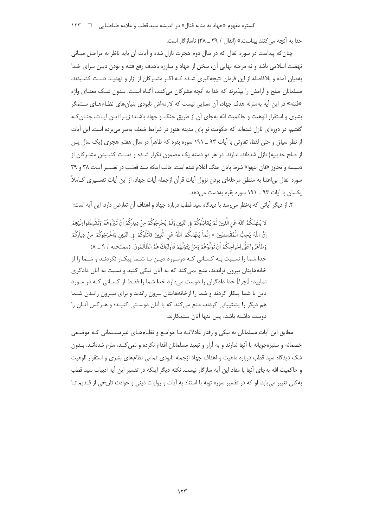گستره مفهوم «جهاد به مثابه قتال» در اندیشه سید قطب و علامه طباطبایی □ ١٢٣

خدا به آنچه می کنند بیناست.» (انفال / ۳۹ ـ ۳۸) ناسازگار است.

چنان که پیداست در سوره انفال که در سال دوم هجرت نازل شده و آیات آن باید ناظر به مراحـل میـانی نهضت اسلامی باشد و نه مرحله نهایی آن، سخن از جهاد و مبارزه باهدف رفع فتنه و بودن دیـن بـرای خـدا بهمیان آمده و بلافاصله از این فرمان نتیجه گیری شـده کـه اگـر مشـرکان از آزار و تهدیـد دسـت کشـیدند، مسلمانان صلح و آرامش را بیذیرند که خدا به آنچه مشرکان می کنند، آگـاه اسـت. بـدون شـک معنـای واژه «فتنه» در این آیه بهمنزله هدف جهاد، آن معنایی نیست که لازمهاش نابودی بنیانهای نظـامهـای سـتمگر بشری و استقرار الوهیت و حاکمیت الله بهجای آن از طریق جنگ و جهاد باشـد؛ زیـرا ایـن آیـات، چنـان کـه گفتیم، در دورهای نازل شدهاند که حکومت نو پای مدینه هنوز در شرایط ضعف بهسر می برده است. این آیات از نظر سیاق و حتی لفظ، تفاوتی با آیات ۹۳ ــ ۱۹۱ سوره بقره که ظاهراً در سال هفتم هجری (یک سال پس از صلح حدیبیه) نازل شدهاند، ندارند. در هر دو دسته یک مضمون تکرار شـده و دسـت کشـیدن مشـرکان از دسیسه و تجاوز «فان انتهوا» شرط پایان جنگ اعلام شده است. جالب اینکه سید قطـب در تفسـیر آیـات ۳۸ و ۳۹ سوره انفال بی|عتنا به منطق مرحله|ی بودن نزول آیات قرآن ازجمله آیات جهاد، از این آیات تفسـیری کــاملاً یکسان با آیات ۹۳ ــ ۱۹۱ سوره بقره بهدست می دهد.

٢. از دیگر آیاتی که بهنظر می رسد با دیدگاه سید قطب درباره جهاد و اهداف آن تعارض دارد، این آیه است:

لاْ يَنْهٰدُكُمُ اللَّهُ عَنِ الَّذِينَ لَمْ يُقاٰتِلُوكُمْ فِي الدِّينِ وَلَمْ يُخْرِجُوكُمْ مِنْ دِياٰ{كُمْ اَنْ تَبَرُّوهُمْ وَتُقْسِطُوٓا إِلَيْهِمْر إِنَّ اللَّهَ يُحِبُّ الْمُقْسِطِينَ \* إِنَّماٰ يَنْهٰدُكُمُ اللَّهُ عَنِ الَّذِينَ قاٰتَلُوكُمْ فِي الدِّينِ وَاخْرَجُوكُمْ مِنْ دِياْرِكُمْ وَظِلْهَرُوا عَلَى اِخْرِاْجِكُمْ اَنْ تَوَلَّوْهُمْ وَمَنْ يَتَوَلَّهُمْ فَأُولَٰئِكَ هُمُ الظَّالِمُونَ. (ممتحنه / ٩ \_ ٨) خدا شما را نسـبت بـه كسـاني كـه درمـورد ديـن بـا شـما پيكـار نكردنـد و شـما را از خانههایتان بیرون نراندند، منع نمی کند که به آنان نیکی کنید و نسبت به آنان دادگری نمایید؛ [چرا] خدا دادگران را دوست میدارد خدا شما را فقـط از کسـانی کـه در مـورد دین با شما پیکار کردند و شما را ازخانههایتان بیرون راندند و برای بیـرون رانـدن شـما هم دیگر را پشتیبانی کردند، منع میکند که با آنان دوستی کنیـد؛ و هـرکس آنـان را دوست داشته باشد، پس تنها آنان ستمکارند.

مطابق این آیات مسلمانان به نیکی و رفتار عادلانـه بـا جوامـع و نظـامهـای غیرمسـلمانی کـه موضـعی خصمانه و ستیزهجویانه با آنها ندارند و به آزار و تبعید مسلمانان اقدام نکرده و نمی کنند، ملزم شدهانــد. بــدون شک دیدگاه سید قطب درباره ماهیت و اهداف جهاد ازجمله نابودی تمامی نظامهای بشری و استقرار الوهیت و حاکمیت الله بهجای آنها با مفاد این آیه سازگار نیست. نکته دیگر اینکه در تفسیر این آیه ادبیات سید قطب به کلی تغییر می یابد. او که در تفسیر سوره توبه با استناد به آیات و روایات دینی و حوادث تاریخی از قـدیم تـا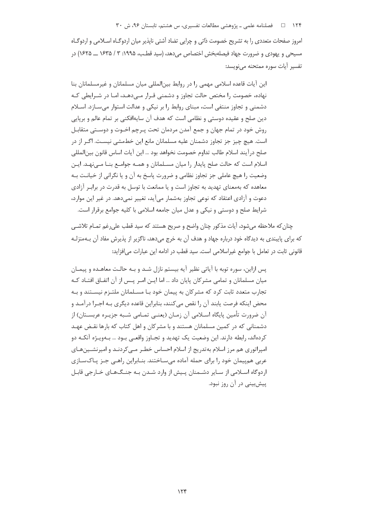۱۲۴ فصلنامه علمی ـ پژوهشی مطالعات تفسیری، س هشتم، تابستان ۹۶، ش ۳۰

امروز صفحات متعددی را به تشریح خصومت ذاتی و چرایی تضاد آشتی ناپذیر میان اردوگـاه اســلامی و اردوگـاه مسیحی و یهودی و ضرورت جهاد فیصلهبخش اختصاص می دهد، (سید قطب، ۱۹۹۵: ۳ / ۱۶۳۵ ــ ۱۶۲۵) در تفسير آيات سوره ممتحنه مي نويسد:

این آیات قاعده اسلامی مهمی را در روابط بین|لمللی میان مسلمانان و غیرمسلمانان بنا نهاده، خصومت را مختص حالت تجاوز و دشمنی قـرار مـی،دهـد، امـا در شـرایطی کـه دشمنی و تجاوز منتفی است، مبنای روابط را بر نیکی و عدالت استوار می سـازد. اسـلام دین صلح و عقیده دوستی و نظامی است که هدف آن سایهافکنی بر تمام عالم و برپایی روش خود در تمام جهان و جمع آمدن مردمان تحت پـرچم اخـوت و دوسـتى متقابـل است. هيچ چيز جز تجاوز دشمنان عليه مسلمانان مانع اين خطمشي نيسـت. اگـر از در صلح در آیند اسلام طالب تداوم خصومت نخواهد بود … این آیات اساس قانون بین|لمللی اسلام است كه حالت صلح پايدار را ميان مسـلمانان و همـه جوامـع بنـا مـىنهـد. ايـن وضعیت را هیچ عاملی جز تجاوز نظامی و ضرورت پاسخ به آن و یا نگرانی از خیانـت بـه معاهده که بهمعنای تهدید به تجاوز است و یا ممانعت با توسل به قدرت در برابـر آزادی دعوت و آزادی اعتقاد که نوعی تجاوز بهشمار می آید، تغییر نمی دهد. در غیر این موارد، شرایط صلح و دوستی و نیکی و عدل میان جامعه اسلامی با کلیه جوامع برقرار است.

چنان که ملاحظه میشود، آیات مذکور چنان واضح و صریح هستند که سید قطب علی رغم تمـام تلاشـی که برای پایبندی به دیدگاه خود درباره جهاد و هدف آن به خرج میدهد، ناگزیر از پذیرش مفاد آن بـهمنزلـه قانونی ثابت در تعامل با جوامع غیراسلامی است. سید قطب در ادامه این عبارات می(فزاید:

پس ازاین، سوره توبه با آیاتی نظیر آیه بیستم نازل شـد و بـه حالـت معاهـده و پیمـان میان مسلمانان و تمامی مشرکان پایان داد … اما ایـن امـر پـس از آن اتفـاق افتـاد کـه تجارب متعدد ثابت کرد که مشرکان به پیمان خود بـا مسـلمانان ملتـزم نیسـتند و بـه محض اینکه فرصت یابند آن را نقص میکنند، بنابراین قاعده دیگری بـه اجـرا درآمـد و آن ضرورت تأمين پايگاه اسـلامي آن زمـان (يعنــي تمـامي شــبه جزيـره عربسـتان) از دشمنانی که در کمین مسلمانان هستند و با مشرکان و اهل کتاب که بارها نقـض عهـد کردهاند، رابطه دارند. این وضعیت یک تهدید و تجـاوز واقعـی بـود … بـهویـژه آنکـه دو امپراتوری هم مرز اسلام بهتدریج از اسلام احساس خطـر مـی کردنـد و امپرنشـینهـای عربی همییمان خود را برای حمله آماده می سـاختند. بنـابراین راهـی جـز پـاکـسـازی اردوگاه اسـلامی از سـایر دشـمنان پـیش از وارد شـدن بـه جنـگ&ـای خـارجی قابـل پیشبینی در آن روز نبود.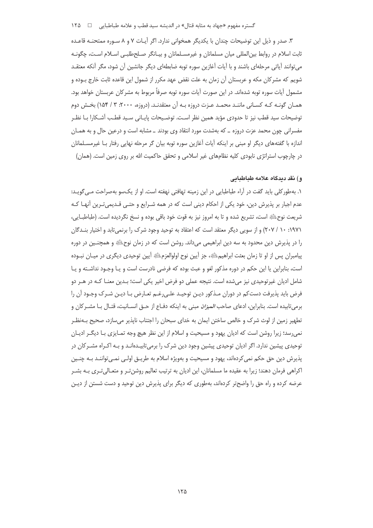# گستره مفهوم «جهاد به مثابه قتال» در اندیشه سید قطب و علامه طباطبایی □ ١٢٥

۳. صدر و ذیل این توضیحات چندان با یکدیگر همخوانی ندارد. اگر آیـات ۷ و ۸ سـوره ممتحنـه قاعـده ثابت اسلام در روابط بین|لمللی میان مسلمانان و غیرمسـلمانان و بیـانگر صـلحطلبـی اسـلام اسـت، چگونـه می توانند آیاتی مرحلهای باشند و با آیات آغازین سوره توبه ضابطهای دیگر جانشین آن شود، مگر آنکه معتقـد شویم که مشرکان مکه و عربستان آن زمان به علت نقض عهد مکرر از شمول این قاعده ثابت خارج بـوده و مشمول آيات سوره توبه شدهاند. در اين صورت آيات سوره توبه صرفاً مربوط به مشر كان عربستان خواهد بود. همـان گونـه كـه كسـاني ماننـد محمـد عـزت دروزه بـه آن معتقدنـد. (دروزه، ۲۰۰۰: ۳ / ۱۵۴) بخـش دوم توضيحات سيد قطب نيز تا حدودي مؤيد همين نظر است. توضـيحات پايـاني سـيد قطـب آشـكارا بـا نظـر مفسرانی چون محمد عزت دروزه \_ که بهشدت مورد انتقاد وی بودند \_ مشابه است و درعین حال و به همـان اندازه با گفتههای دیگر او مبنی بر اینکه آیات آغازین سوره توبه بیان گر مرحله نهایی رفتار بـا غیرمسـلمانان در چارچوب استراتژی نابودی کلیه نظامهای غیر اسلامی و تحقق حاکمیت الله بر روی زمین است. (همان)

### و) نقد ديدگاه علامه طباطبايي

١. بهطور كلي بايد گفت در آراء طباطبايي در اين زمينه تهافتي نهفته است. او از يكسو بهصراحت مـ ,گويـد: عدم اجبار بر پذیرش دین، خود یکی از احکام دینی است که در همه شـرایع و حتـی قـدیمیتـرین آنهـا کـه شريعت نوحﷺ است، تشريع شده و تا به امروز نيز به قوت خود باقي بوده و نسخ نگرديده است. (طباطبــايي، ۱۹۷۱: ۱۰ / ۲۰۷) و از سویی دیگر معتقد است که اعتقاد به توحید وجود شرک را برنمی تابد و اختیار بنـدگان را در پذیرش دین محدود به سه دین ابراهیمی میداند. روشن است که در زمان نوحﷺ و همچنـین در دوره پیامبران پس از او تا زمان بعثت ابراهیمﷺ، جز آیین نوح اولوالعزمﷺ آیین توحیدی دیگری در میـان نبـوده است، بنابراین یا این حکم در دوره مذکور لغو و عبث بوده که فرضی نادرست است و یـا وجـود نداشـته و یـا شامل ادیان غیرتوحیدی نیز میشده است. نتیجه عملی دو فرض اخیر یکی است؛ بـدین معنـا کـه در هـر دو فرض باید پذیرفت دست کم در دوران مـذکور دیـن توحیـد علـی(غـم تعـارض بـا دیـن شـرک وجـود أن را برميتابيده است. بنابراين، ادعاى صاحب *الميزان* مبنى به اينكه دفـاع از حــق انســانيت، قتـال بــا مشــر كان و تطهیر زمین از لوث شرک و خالص ساختن ایمان به خدای سیجان را احتناب نابذیر می سازد، صحیح پ)فظ نمی رسد؛ زیرا روشن است که ادیان یهود و مسیحیت و اسلام از این نظر هیچ وجه تمـایزی بـا دیگـر ادیـان توحیدی پیشین ندارد. اگر ادیان توحیدی پیشین وجود دین شرک را برمی¤ابیـدهانـد و بـه اکـراه مشـرکان در پذيرش دين حق حکم نمي کردهاند، پهود و مسيحيت و بهويژه اسلام به طريــق اولــي نمــي تواننــد بــه چنــين اکراهی فرمان دهند؛ زیرا به عقیده ما مسلمانان، این ادیان به ترتیب تعالیم روشنتر و متعـالیتری بـه بشـر عرضه کرده و راه حق را واضحتر کردهاند، بهطوری که دیگر برای پذیرش دین توحید و دست شستن از دیـن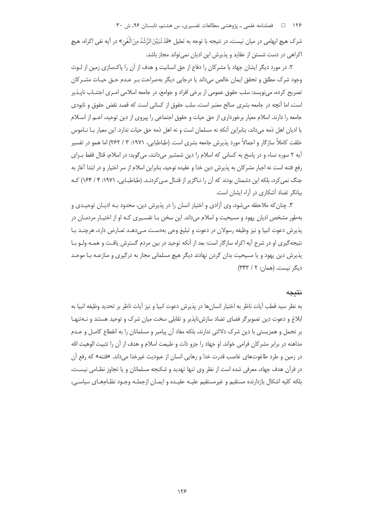۱۲۶ فصلنامه علمی ـ پژوهشی مطالعات تفسیری، س هشتم، تابستان ۹۶، ش ۳۰

شرک هیچ ابهامی در میان نیست، در نتیجه با توجه به تعلیل «قَدْ تَبَيَّنَ الرُّشُدُمِنَ الْغَيِّ» در آیه نفی اکراه، هیچ اکراهی در دست شستن از عقاید و پذیرش این ادیان نمیتواند مجاز باشد.

۲. در مورد دیگر ایشان جهاد با مشرکان را دفاع از حق انسانیت و هدف از آن را پاکسازی زمین از لـوث وجود شرک مطلق و تحقق ایمان خالص میداند یا درجایی دیگر بهصراحت بـر عـدم حـق حیـات مشـرکان تصریح کرده، می;نویسد: سلب حقوق عمومی از برخی افراد و جوامع، در جامعه اسلامی امـری اجتنــاب ناپــذیر است، اما آنچه در جامعه بشری صالح معتبر است، سلب حقوق از کسانی است که قصد نقض حقوق و نابودی جامعه را دارند. اسلام معیار برخورداری از حق حیات و حقوق اجتماعی را پیروی از دین توحید، اعــم از اســلام یا ادیان اهل ذمه میداند، بنابراین آنکه نه مسلمان است و نه اهل ذمه حق حیات ندارد. این معیار بـا نـاموس خلقت کاملاً سازگار و اجمالاً مورد پذیرش جامعه بشری است. (طباطبایی، ۱۹۷۱: ۳ / ۲۶۲) اما همو در تفسیر آيه ٢ سوره نساء و در پاسخ به كساني كه اسلام را دين شمشير ميدانند، ميگويد: در اسلام، قتال فقط بـراي رفع فتنه است نه اجبار مشركان به پذيرش دين خدا و عقيده توحيد، بنابراين اسلام از سر اختيار و در ابتدا آغاز به جنگ نمی کرد، بلکه این دشمنان بودند که آن را نـاگزیر از قتـال مـی کردنـد. (طباطبـایی، ۱۹۷۱: ۴ / ۱۶۴) کـه بیانگر تضاد آشکاری در آراء ایشان است.

۳. چنان که ملاحظه می شود، وی آزادی و اختیار انسان را در پذیرش دین، محدود بـه ادیـان توحیـدی و بهطور مشخص ادیان پهود و مسیحیت و اسلام میداند. این سخن بـا تفسـیری کـه او از اختیـار مردمـان در يذيرش دعوت انبيا و نيز وظيفه رسولان در دعوت و تبليغ وحي بهدست مـي دهـد تعـارض دارد، هرچنـد بـا نتیجه گیری او در شرح آیه اکراه سازگار است: بعد از آنکه توحید در بین مردم گسترش یافت و همـه ولـو بـا پذیرش دین پهود و یا مسیحیت بدان گردن نهادند دیگر هیچ مسلمانی مجاز به درگیری و منازعـه بـا موحـد دیگر نیست. (همان: ۲ / ۳۴۳)

### نتىحە

به نظر سيد قطب آيات ناظر به اختيار انسانِها در پذيرش دعوت انبيا و نيز آيات ناظر بر تحديد وظيفه انبيا به ابلاغ و دعوت دین تصویر گر فضای تضاد سازش ناپذیر و تقابلی سخت میان شرک و توحید هستند و نـهتنهـا بر تحمل و همزیستی با دین شرک دلالتی ندارند، بلکه مفاد آن پیامبر و مسلمانان را به انقطاع کامـل و عـدم مداهنه در برابر مشركان فرامي خواند. او جهاد را جزو ذات و طبيعت اسلام و هدف از آن را تثبيت الوهيت الله در زمین و طرد طاغوتهای غاصب قدرت خدا و رهایی انسان از عبودیت غیرخدا می داند. «فتنه» که رفع آن در قرآن هدف جهاد، معرفی شده است از نظر وی تنها تهدید و شکنجه مسلمانان و یا تجاوز نظـامی نیسـت، بلکه کلیه اشکال بازدارنده مستقیم و غیرمستقیم علیـه عقیـده و ایمـان ازجملـه وجـود نظـامهـای سیاسـی،